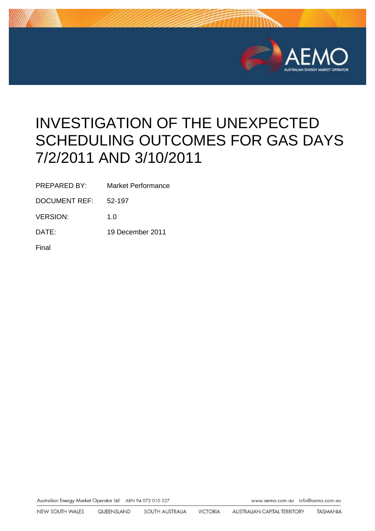

# INVESTIGATION OF THE UNEXPECTED SCHEDULING OUTCOMES FOR GAS DAYS 7/2/2011 AND 3/10/2011

PREPARED BY: Market Performance

DOCUMENT REF: 52-197

VERSION: 1.0

DATE: 19 December 2011

Final

Australian Energy Market Operator Ltd ABN 94 072 010 327 www.aemo.com.au inlo@oemo.com.au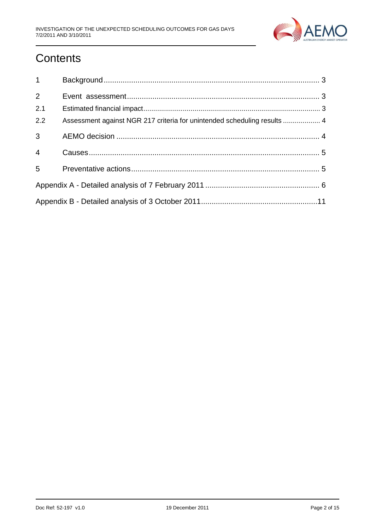

## **Contents**

| $1 \quad \blacksquare$ |                                                                          |
|------------------------|--------------------------------------------------------------------------|
| $\overline{2}$         |                                                                          |
| 2.1                    |                                                                          |
| 2.2                    | Assessment against NGR 217 criteria for unintended scheduling results  4 |
| $\overline{3}$         |                                                                          |
| $\overline{4}$         |                                                                          |
| 5                      |                                                                          |
|                        |                                                                          |
|                        |                                                                          |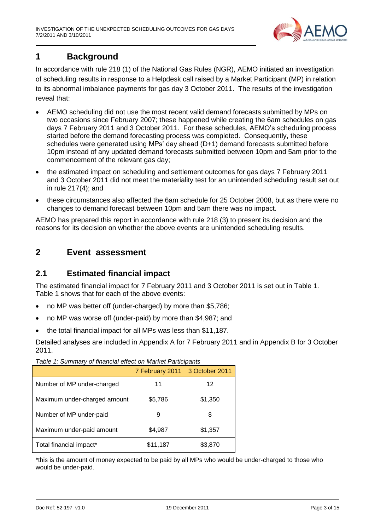

## <span id="page-2-0"></span>**1 Background**

In accordance with rule 218 (1) of the National Gas Rules (NGR), AEMO initiated an investigation of scheduling results in response to a Helpdesk call raised by a Market Participant (MP) in relation to its abnormal imbalance payments for gas day 3 October 2011. The results of the investigation reveal that:

- AEMO scheduling did not use the most recent valid demand forecasts submitted by MPs on two occasions since February 2007; these happened while creating the 6am schedules on gas days 7 February 2011 and 3 October 2011. For these schedules, AEMO's scheduling process started before the demand forecasting process was completed. Consequently, these schedules were generated using MPs' day ahead (D+1) demand forecasts submitted before 10pm instead of any updated demand forecasts submitted between 10pm and 5am prior to the commencement of the relevant gas day;
- the estimated impact on scheduling and settlement outcomes for gas days 7 February 2011 and 3 October 2011 did not meet the materiality test for an unintended scheduling result set out in rule 217(4); and
- these circumstances also affected the 6am schedule for 25 October 2008, but as there were no changes to demand forecast between 10pm and 5am there was no impact.

AEMO has prepared this report in accordance with rule 218 (3) to present its decision and the reasons for its decision on whether the above events are unintended scheduling results.

## <span id="page-2-1"></span>**2 Event assessment**

### <span id="page-2-2"></span>**2.1 Estimated financial impact**

The estimated financial impact for 7 February 2011 and 3 October 2011 is set out in Table 1. Table 1 shows that for each of the above events:

- no MP was better off (under-charged) by more than \$5,786;
- no MP was worse off (under-paid) by more than \$4,987; and
- the total financial impact for all MPs was less than \$11,187.

Detailed analyses are included in Appendix A for 7 February 2011 and in Appendix B for 3 October 2011.

| rapid 11 January of midnoidi choot on mantot ranticipanto |                 |                |  |  |
|-----------------------------------------------------------|-----------------|----------------|--|--|
|                                                           | 7 February 2011 | 3 October 2011 |  |  |
| Number of MP under-charged                                | 11              | 12             |  |  |
| Maximum under-charged amount                              | \$5,786         | \$1,350        |  |  |
| Number of MP under-paid                                   | 9               | 8              |  |  |
| Maximum under-paid amount                                 | \$4,987         | \$1,357        |  |  |
| Total financial impact*                                   | \$11,187        | \$3,870        |  |  |

*Table 1: Summary of financial effect on Market Participants*

\*this is the amount of money expected to be paid by all MPs who would be under-charged to those who would be under-paid.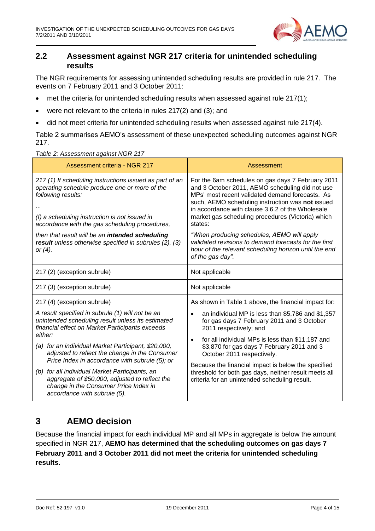

## <span id="page-3-0"></span>**2.2 Assessment against NGR 217 criteria for unintended scheduling results**

The NGR requirements for assessing unintended scheduling results are provided in rule 217. The events on 7 February 2011 and 3 October 2011:

- met the criteria for unintended scheduling results when assessed against rule 217(1);
- were not relevant to the criteria in rules 217(2) and (3); and
- did not meet criteria for unintended scheduling results when assessed against rule 217(4).

Table 2 summarises AEMO's assessment of these unexpected scheduling outcomes against NGR 217.

*Table 2: Assessment against NGR 217*

| Assessment criteria - NGR 217                                                                                                                                                                                                     | Assessment                                                                                                                                                                                                                                                                                                                      |
|-----------------------------------------------------------------------------------------------------------------------------------------------------------------------------------------------------------------------------------|---------------------------------------------------------------------------------------------------------------------------------------------------------------------------------------------------------------------------------------------------------------------------------------------------------------------------------|
| 217 (1) If scheduling instructions issued as part of an<br>operating schedule produce one or more of the<br>following results:<br>(f) a scheduling instruction is not issued in<br>accordance with the gas scheduling procedures, | For the 6am schedules on gas days 7 February 2011<br>and 3 October 2011, AEMO scheduling did not use<br>MPs' most recent validated demand forecasts. As<br>such, AEMO scheduling instruction was not issued<br>in accordance with clause 3.6.2 of the Wholesale<br>market gas scheduling procedures (Victoria) which<br>states: |
| then that result will be an intended scheduling<br>result unless otherwise specified in subrules (2), (3)<br>or $(4)$ .                                                                                                           | "When producing schedules, AEMO will apply<br>validated revisions to demand forecasts for the first<br>hour of the relevant scheduling horizon until the end<br>of the gas day".                                                                                                                                                |
| 217 (2) (exception subrule)                                                                                                                                                                                                       | Not applicable                                                                                                                                                                                                                                                                                                                  |
| 217 (3) (exception subrule)                                                                                                                                                                                                       | Not applicable                                                                                                                                                                                                                                                                                                                  |
| 217 (4) (exception subrule)                                                                                                                                                                                                       | As shown in Table 1 above, the financial impact for:                                                                                                                                                                                                                                                                            |
| A result specified in subrule (1) will not be an<br>unintended scheduling result unless its estimated<br>financial effect on Market Participants exceeds                                                                          | an individual MP is less than \$5,786 and \$1,357<br>$\bullet$<br>for gas days 7 February 2011 and 3 October<br>2011 respectively; and                                                                                                                                                                                          |
| either:<br>(a) for an individual Market Participant, \$20,000,<br>adjusted to reflect the change in the Consumer<br>Price Index in accordance with subrule (5); or                                                                | for all individual MPs is less than \$11,187 and<br>$\bullet$<br>\$3,870 for gas days 7 February 2011 and 3<br>October 2011 respectively.                                                                                                                                                                                       |
| (b) for all individual Market Participants, an<br>aggregate of \$50,000, adjusted to reflect the<br>change in the Consumer Price Index in<br>accordance with subrule (5).                                                         | Because the financial impact is below the specified<br>threshold for both gas days, neither result meets all<br>criteria for an unintended scheduling result.                                                                                                                                                                   |

## <span id="page-3-1"></span>**3 AEMO decision**

Because the financial impact for each individual MP and all MPs in aggregate is below the amount specified in NGR 217, **AEMO has determined that the scheduling outcomes on gas days 7 February 2011 and 3 October 2011 did not meet the criteria for unintended scheduling results.**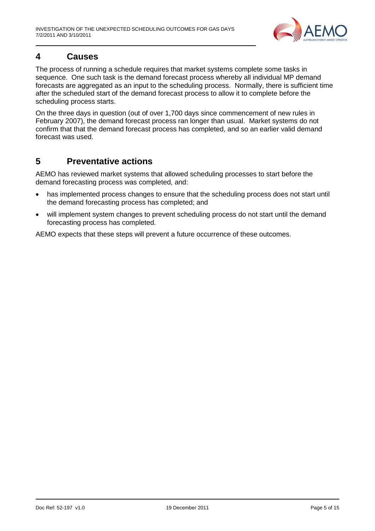

## <span id="page-4-0"></span>**4 Causes**

The process of running a schedule requires that market systems complete some tasks in sequence. One such task is the demand forecast process whereby all individual MP demand forecasts are aggregated as an input to the scheduling process. Normally, there is sufficient time after the scheduled start of the demand forecast process to allow it to complete before the scheduling process starts.

On the three days in question (out of over 1,700 days since commencement of new rules in February 2007), the demand forecast process ran longer than usual. Market systems do not confirm that that the demand forecast process has completed, and so an earlier valid demand forecast was used.

## <span id="page-4-1"></span>**5 Preventative actions**

AEMO has reviewed market systems that allowed scheduling processes to start before the demand forecasting process was completed, and:

- has implemented process changes to ensure that the scheduling process does not start until the demand forecasting process has completed; and
- will implement system changes to prevent scheduling process do not start until the demand forecasting process has completed.

AEMO expects that these steps will prevent a future occurrence of these outcomes.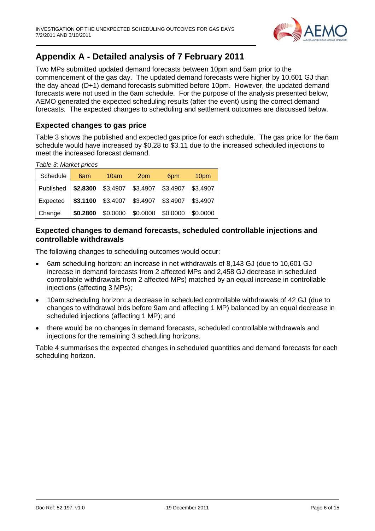

## <span id="page-5-0"></span>**Appendix A - Detailed analysis of 7 February 2011**

Two MPs submitted updated demand forecasts between 10pm and 5am prior to the commencement of the gas day. The updated demand forecasts were higher by 10,601 GJ than the day ahead (D+1) demand forecasts submitted before 10pm. However, the updated demand forecasts were not used in the 6am schedule. For the purpose of the analysis presented below, AEMO generated the expected scheduling results (after the event) using the correct demand forecasts. The expected changes to scheduling and settlement outcomes are discussed below.

#### **Expected changes to gas price**

Table 3 shows the published and expected gas price for each schedule. The gas price for the 6am schedule would have increased by \$0.28 to \$3.11 due to the increased scheduled injections to meet the increased forecast demand.

*Table 3: Market prices*

| Schedule                                                 | 6am 10am | 2pm                                          | 6pm | 10 <sub>pm</sub> |
|----------------------------------------------------------|----------|----------------------------------------------|-----|------------------|
| Published   \$2.8300 \$3.4907 \$3.4907 \$3.4907 \$3.4907 |          |                                              |     |                  |
| Expected   \$3.1100 \$3.4907 \$3.4907 \$3.4907 \$3.4907  |          |                                              |     |                  |
| Change                                                   |          | \$0.2800 \$0.0000 \$0.0000 \$0.0000 \$0.0000 |     |                  |

#### **Expected changes to demand forecasts, scheduled controllable injections and controllable withdrawals**

The following changes to scheduling outcomes would occur:

- 6am scheduling horizon: an increase in net withdrawals of 8,143 GJ (due to 10,601 GJ increase in demand forecasts from 2 affected MPs and 2,458 GJ decrease in scheduled controllable withdrawals from 2 affected MPs) matched by an equal increase in controllable injections (affecting 3 MPs);
- 10am scheduling horizon: a decrease in scheduled controllable withdrawals of 42 GJ (due to changes to withdrawal bids before 9am and affecting 1 MP) balanced by an equal decrease in scheduled injections (affecting 1 MP); and
- there would be no changes in demand forecasts, scheduled controllable withdrawals and injections for the remaining 3 scheduling horizons.

Table 4 summarises the expected changes in scheduled quantities and demand forecasts for each scheduling horizon.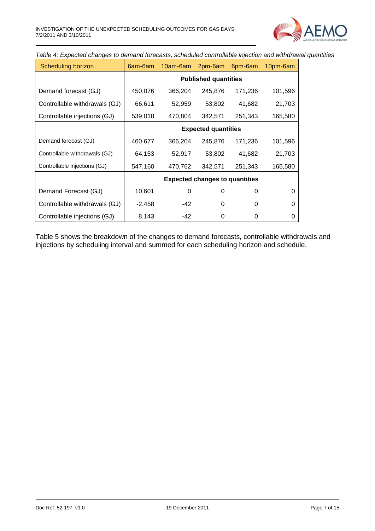

*Table 4: Expected changes to demand forecasts, scheduled controllable injection and withdrawal quantities*

| Scheduling horizon            | 6am-6am                    | 10am-6am | 2pm-6am                               | 6pm-6am | 10pm-6am |  |
|-------------------------------|----------------------------|----------|---------------------------------------|---------|----------|--|
|                               |                            |          | <b>Published quantities</b>           |         |          |  |
| Demand forecast (GJ)          | 450,076                    | 366,204  | 245,876                               | 171,236 | 101,596  |  |
| Controllable withdrawals (GJ) | 66,611                     | 52,959   | 53,802                                | 41,682  | 21,703   |  |
| Controllable injections (GJ)  | 539,018                    | 470,804  | 342,571                               | 251,343 | 165,580  |  |
|                               | <b>Expected quantities</b> |          |                                       |         |          |  |
| Demand forecast (GJ)          | 460,677                    | 366,204  | 245,876                               | 171,236 | 101,596  |  |
| Controllable withdrawals (GJ) | 64,153                     | 52,917   | 53,802                                | 41,682  | 21,703   |  |
| Controllable injections (GJ)  | 547,160                    | 470,762  | 342,571                               | 251,343 | 165,580  |  |
|                               |                            |          | <b>Expected changes to quantities</b> |         |          |  |
| Demand Forecast (GJ)          | 10,601                     | 0        | 0                                     | 0       | 0        |  |
| Controllable withdrawals (GJ) | $-2,458$                   | $-42$    | $\Omega$                              | 0       | 0        |  |
| Controllable injections (GJ)  | 8,143                      | -42      | 0                                     | 0       | 0        |  |

Table 5 shows the breakdown of the changes to demand forecasts, controllable withdrawals and injections by scheduling interval and summed for each scheduling horizon and schedule.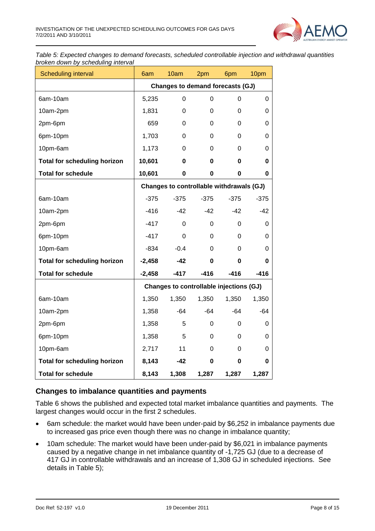

*Table 5: Expected changes to demand forecasts, scheduled controllable injection and withdrawal quantities broken down by scheduling interval*

| Scheduling interval                 | 6am                              | 10am                                     | 2pm         | 6pm         | 10pm     |  |  |
|-------------------------------------|----------------------------------|------------------------------------------|-------------|-------------|----------|--|--|
|                                     | Changes to demand forecasts (GJ) |                                          |             |             |          |  |  |
| 6am-10am                            | 5,235                            | 0                                        | $\Omega$    | $\mathbf 0$ | $\Omega$ |  |  |
| 10am-2pm                            | 1,831                            | 0                                        | $\Omega$    | 0           | 0        |  |  |
| 2pm-6pm                             | 659                              | 0                                        | 0           | 0           | 0        |  |  |
| 6pm-10pm                            | 1,703                            | 0                                        | $\Omega$    | 0           | 0        |  |  |
| 10pm-6am                            | 1,173                            | 0                                        | 0           | 0           | 0        |  |  |
| <b>Total for scheduling horizon</b> | 10,601                           | 0                                        | $\mathbf 0$ | 0           | 0        |  |  |
| <b>Total for schedule</b>           | 10,601                           | 0                                        | $\mathbf 0$ | 0           | 0        |  |  |
|                                     |                                  | Changes to controllable withdrawals (GJ) |             |             |          |  |  |
| 6am-10am                            | $-375$                           | $-375$                                   | $-375$      | $-375$      | $-375$   |  |  |
| 10am-2pm                            | $-416$                           | $-42$                                    | $-42$       | $-42$       | $-42$    |  |  |
| 2pm-6pm                             | $-417$                           | 0                                        | 0           | 0           | 0        |  |  |
| 6pm-10pm                            | $-417$                           | 0                                        | 0           | 0           | 0        |  |  |
| 10pm-6am                            | $-834$                           | $-0.4$                                   | 0           | 0           | 0        |  |  |
| <b>Total for scheduling horizon</b> | $-2,458$                         | $-42$                                    | 0           | 0           | 0        |  |  |
| <b>Total for schedule</b>           | $-2,458$                         | $-417$                                   | $-416$      | $-416$      | $-416$   |  |  |
|                                     |                                  | Changes to controllable injections (GJ)  |             |             |          |  |  |
| 6am-10am                            | 1,350                            | 1,350                                    | 1,350       | 1,350       | 1,350    |  |  |
| 10am-2pm                            | 1,358                            | $-64$                                    | $-64$       | $-64$       | $-64$    |  |  |
| 2pm-6pm                             | 1,358                            | 5                                        | 0           | 0           | 0        |  |  |
| 6pm-10pm                            | 1,358                            | 5                                        | $\Omega$    | 0           | 0        |  |  |
| 10pm-6am                            | 2,717                            | 11                                       | $\Omega$    | 0           | 0        |  |  |
| <b>Total for scheduling horizon</b> | 8,143                            | $-42$                                    | $\mathbf 0$ | 0           | 0        |  |  |
| <b>Total for schedule</b>           | 8,143                            | 1,308                                    | 1,287       | 1,287       | 1,287    |  |  |

#### **Changes to imbalance quantities and payments**

Table 6 shows the published and expected total market imbalance quantities and payments. The largest changes would occur in the first 2 schedules.

- 6am schedule: the market would have been under-paid by \$6,252 in imbalance payments due to increased gas price even though there was no change in imbalance quantity;
- 10am schedule: The market would have been under-paid by \$6,021 in imbalance payments caused by a negative change in net imbalance quantity of -1,725 GJ (due to a decrease of 417 GJ in controllable withdrawals and an increase of 1,308 GJ in scheduled injections. See details in Table 5);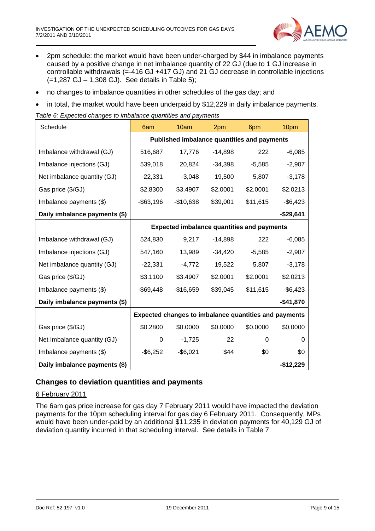

- 2pm schedule: the market would have been under-charged by \$44 in imbalance payments caused by a positive change in net imbalance quantity of 22 GJ (due to 1 GJ increase in controllable withdrawals (=-416 GJ +417 GJ) and 21 GJ decrease in controllable injections (=1,287 GJ – 1,308 GJ). See details in Table 5);
- no changes to imbalance quantities in other schedules of the gas day; and
- in total, the market would have been underpaid by \$12,229 in daily imbalance payments.

*Table 6: Expected changes to imbalance quantities and payments*

| Schedule                      | 6am                                                          | 10am                                              | 2pm       | 6pm      | 10pm        |  |
|-------------------------------|--------------------------------------------------------------|---------------------------------------------------|-----------|----------|-------------|--|
|                               | <b>Published imbalance quantities and payments</b>           |                                                   |           |          |             |  |
| Imbalance withdrawal (GJ)     | 516,687                                                      | 17,776                                            | -14,898   | 222      | $-6,085$    |  |
| Imbalance injections (GJ)     | 539,018                                                      | 20,824                                            | $-34,398$ | $-5,585$ | $-2,907$    |  |
| Net imbalance quantity (GJ)   | $-22,331$                                                    | $-3,048$                                          | 19,500    | 5,807    | $-3,178$    |  |
| Gas price (\$/GJ)             | \$2.8300                                                     | \$3.4907                                          | \$2.0001  | \$2.0001 | \$2.0213    |  |
| Imbalance payments (\$)       | $-$ \$63,196                                                 | $-$10,638$                                        | \$39,001  | \$11,615 | $-$6,423$   |  |
| Daily imbalance payments (\$) |                                                              |                                                   |           |          | -\$29,641   |  |
|                               |                                                              | <b>Expected imbalance quantities and payments</b> |           |          |             |  |
| Imbalance withdrawal (GJ)     | 524,830                                                      | 9,217                                             | $-14,898$ | 222      | $-6,085$    |  |
| Imbalance injections (GJ)     | 547,160                                                      | 13,989                                            | $-34,420$ | $-5,585$ | $-2,907$    |  |
| Net imbalance quantity (GJ)   | $-22,331$                                                    | $-4,772$                                          | 19,522    | 5,807    | $-3,178$    |  |
| Gas price (\$/GJ)             | \$3.1100                                                     | \$3.4907                                          | \$2.0001  | \$2.0001 | \$2.0213    |  |
| Imbalance payments (\$)       | $-$ \$69,448                                                 | $-$16,659$                                        | \$39,045  | \$11,615 | $-$ \$6,423 |  |
| Daily imbalance payments (\$) |                                                              |                                                   |           |          | $-$41,870$  |  |
|                               | <b>Expected changes to imbalance quantities and payments</b> |                                                   |           |          |             |  |
| Gas price (\$/GJ)             | \$0.2800                                                     | \$0.0000                                          | \$0.0000  | \$0.0000 | \$0.0000    |  |
| Net Imbalance quantity (GJ)   | 0                                                            | $-1,725$                                          | 22        | $\Omega$ | 0           |  |
| Imbalance payments (\$)       | $-$ \$6,252                                                  | $-$6,021$                                         | \$44      | \$0      | \$0         |  |
| Daily imbalance payments (\$) |                                                              |                                                   |           |          | $-$12,229$  |  |

#### **Changes to deviation quantities and payments**

#### 6 February 2011

The 6am gas price increase for gas day 7 February 2011 would have impacted the deviation payments for the 10pm scheduling interval for gas day 6 February 2011. Consequently, MPs would have been under-paid by an additional \$11,235 in deviation payments for 40,129 GJ of deviation quantity incurred in that scheduling interval. See details in Table 7.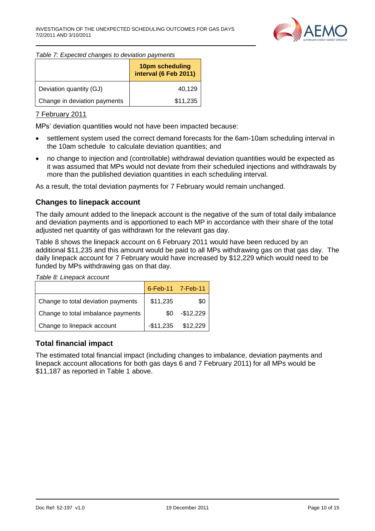

#### *Table 7: Expected changes to deviation payments*

|                              | 10pm scheduling<br>interval (6 Feb 2011) |
|------------------------------|------------------------------------------|
| Deviation quantity (GJ)      | 40,129                                   |
| Change in deviation payments | \$11,235                                 |

#### 7 February 2011

MPs' deviation quantities would not have been impacted because:

- settlement system used the correct demand forecasts for the 6am-10am scheduling interval in the 10am schedule to calculate deviation quantities; and
- no change to injection and (controllable) withdrawal deviation quantities would be expected as it was assumed that MPs would not deviate from their scheduled injections and withdrawals by more than the published deviation quantities in each scheduling interval.

As a result, the total deviation payments for 7 February would remain unchanged.

#### **Changes to linepack account**

The daily amount added to the linepack account is the negative of the sum of total daily imbalance and deviation payments and is apportioned to each MP in accordance with their share of the total adjusted net quantity of gas withdrawn for the relevant gas day.

Table 8 shows the linepack account on 6 February 2011 would have been reduced by an additional \$11,235 and this amount would be paid to all MPs withdrawing gas on that gas day. The daily linepack account for 7 February would have increased by \$12,229 which would need to be funded by MPs withdrawing gas on that day.

*Table 8: Linepack account*

|                                    |          | 6-Feb-11 7-Feb-11    |
|------------------------------------|----------|----------------------|
| Change to total deviation payments | \$11,235 | \$0                  |
| Change to total imbalance payments | \$0.     | $-$12,229$           |
| Change to linepack account         |          | $-$11,235$ $$12,229$ |

#### **Total financial impact**

The estimated total financial impact (including changes to imbalance, deviation payments and linepack account allocations for both gas days 6 and 7 February 2011) for all MPs would be \$11,187 as reported in Table 1 above.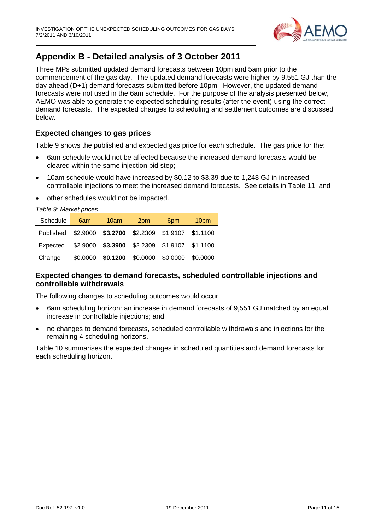

## <span id="page-10-0"></span>**Appendix B - Detailed analysis of 3 October 2011**

Three MPs submitted updated demand forecasts between 10pm and 5am prior to the commencement of the gas day. The updated demand forecasts were higher by 9,551 GJ than the day ahead (D+1) demand forecasts submitted before 10pm. However, the updated demand forecasts were not used in the 6am schedule. For the purpose of the analysis presented below, AEMO was able to generate the expected scheduling results (after the event) using the correct demand forecasts. The expected changes to scheduling and settlement outcomes are discussed below.

#### **Expected changes to gas prices**

Table 9 shows the published and expected gas price for each schedule. The gas price for the:

- 6am schedule would not be affected because the increased demand forecasts would be cleared within the same injection bid step;
- 10am schedule would have increased by \$0.12 to \$3.39 due to 1,248 GJ in increased controllable injections to meet the increased demand forecasts. See details in Table 11; and
- other schedules would not be impacted.

*Table 9: Market prices*

| Schedule                                                                             | 6am 10am | 2pm | 6pm | 10 <sub>pm</sub>                                     |
|--------------------------------------------------------------------------------------|----------|-----|-----|------------------------------------------------------|
| Published \$2.9000 \$3.2700 \$2.2309 \$1.9107 \$1.1100                               |          |     |     |                                                      |
| $\vert$ Expected $\vert$ \$2.9000 <b>\$3.3900</b> \$2.2309 \$1.9107 \$1.1100 $\vert$ |          |     |     |                                                      |
| Change                                                                               |          |     |     | $\vert$ \$0.0000 \$0.1200 \$0.0000 \$0.0000 \$0.0000 |

#### **Expected changes to demand forecasts, scheduled controllable injections and controllable withdrawals**

The following changes to scheduling outcomes would occur:

- 6am scheduling horizon: an increase in demand forecasts of 9,551 GJ matched by an equal increase in controllable injections; and
- no changes to demand forecasts, scheduled controllable withdrawals and injections for the remaining 4 scheduling horizons.

Table 10 summarises the expected changes in scheduled quantities and demand forecasts for each scheduling horizon.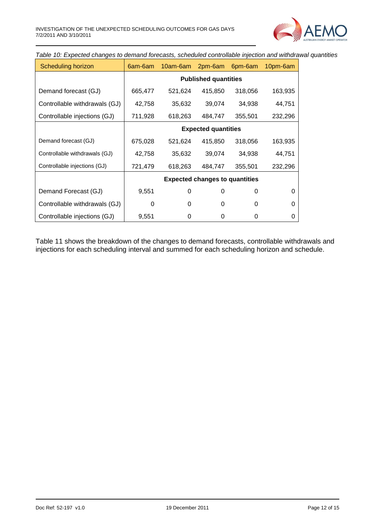

*Table 10: Expected changes to demand forecasts, scheduled controllable injection and withdrawal quantities*

| Scheduling horizon            | 6am-6am                    | 10am-6am | 2pm-6am                               | 6pm-6am | 10pm-6am |  |
|-------------------------------|----------------------------|----------|---------------------------------------|---------|----------|--|
|                               |                            |          | <b>Published quantities</b>           |         |          |  |
| Demand forecast (GJ)          | 665,477                    | 521,624  | 415,850                               | 318,056 | 163,935  |  |
| Controllable withdrawals (GJ) | 42,758                     | 35,632   | 39,074                                | 34,938  | 44,751   |  |
| Controllable injections (GJ)  | 711,928                    | 618,263  | 484,747                               | 355,501 | 232,296  |  |
|                               | <b>Expected quantities</b> |          |                                       |         |          |  |
| Demand forecast (GJ)          | 675,028                    | 521,624  | 415,850                               | 318,056 | 163,935  |  |
| Controllable withdrawals (GJ) | 42,758                     | 35,632   | 39,074                                | 34,938  | 44,751   |  |
| Controllable injections (GJ)  | 721,479                    | 618,263  | 484,747                               | 355,501 | 232,296  |  |
|                               |                            |          | <b>Expected changes to quantities</b> |         |          |  |
| Demand Forecast (GJ)          | 9,551                      | 0        | 0                                     | 0       | 0        |  |
| Controllable withdrawals (GJ) | 0                          | 0        | 0                                     | 0       | 0        |  |
| Controllable injections (GJ)  | 9,551                      | 0        | 0                                     | 0       | 0        |  |

Table 11 shows the breakdown of the changes to demand forecasts, controllable withdrawals and injections for each scheduling interval and summed for each scheduling horizon and schedule.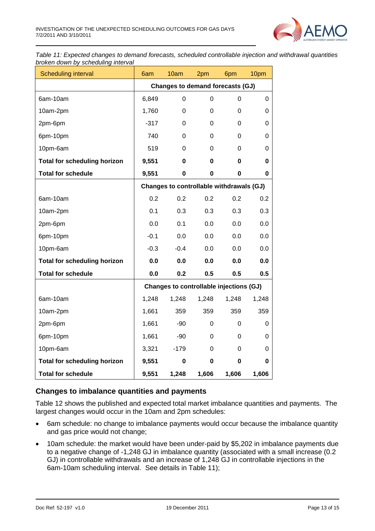

*Table 11: Expected changes to demand forecasts, scheduled controllable injection and withdrawal quantities broken down by scheduling interval*

| Scheduling interval                 | 6am                              | 10am                                     | 2pm         | 6pm   | 10pm  |  |  |
|-------------------------------------|----------------------------------|------------------------------------------|-------------|-------|-------|--|--|
|                                     | Changes to demand forecasts (GJ) |                                          |             |       |       |  |  |
| 6am-10am                            | 6,849                            | 0                                        | $\Omega$    | 0     | 0     |  |  |
| 10am-2pm                            | 1,760                            | 0                                        | $\Omega$    | 0     | 0     |  |  |
| 2pm-6pm                             | $-317$                           | 0                                        | $\Omega$    | 0     | 0     |  |  |
| 6pm-10pm                            | 740                              | 0                                        | $\Omega$    | 0     | 0     |  |  |
| 10pm-6am                            | 519                              | 0                                        | $\Omega$    | 0     | 0     |  |  |
| <b>Total for scheduling horizon</b> | 9,551                            | 0                                        | 0           | 0     | 0     |  |  |
| <b>Total for schedule</b>           | 9,551                            | 0                                        | $\mathbf 0$ | 0     | 0     |  |  |
|                                     |                                  | Changes to controllable withdrawals (GJ) |             |       |       |  |  |
| 6am-10am                            | 0.2                              | 0.2                                      | 0.2         | 0.2   | 0.2   |  |  |
| 10am-2pm                            | 0.1                              | 0.3                                      | 0.3         | 0.3   | 0.3   |  |  |
| 2pm-6pm                             | 0.0                              | 0.1                                      | 0.0         | 0.0   | 0.0   |  |  |
| 6pm-10pm                            | $-0.1$                           | 0.0                                      | 0.0         | 0.0   | 0.0   |  |  |
| 10pm-6am                            | $-0.3$                           | $-0.4$                                   | 0.0         | 0.0   | 0.0   |  |  |
| <b>Total for scheduling horizon</b> | 0.0                              | 0.0                                      | 0.0         | 0.0   | 0.0   |  |  |
| <b>Total for schedule</b>           | 0.0                              | 0.2                                      | 0.5         | 0.5   | 0.5   |  |  |
|                                     |                                  | Changes to controllable injections (GJ)  |             |       |       |  |  |
| 6am-10am                            | 1,248                            | 1,248                                    | 1,248       | 1,248 | 1,248 |  |  |
| 10am-2pm                            | 1,661                            | 359                                      | 359         | 359   | 359   |  |  |
| 2pm-6pm                             | 1,661                            | $-90$                                    | 0           | 0     | 0     |  |  |
| 6pm-10pm                            | 1,661                            | $-90$                                    | 0           | 0     | 0     |  |  |
| 10pm-6am                            | 3,321                            | $-179$                                   | 0           | 0     | 0     |  |  |
| <b>Total for scheduling horizon</b> | 9,551                            | 0                                        | $\bf{0}$    | 0     | 0     |  |  |
| <b>Total for schedule</b>           | 9,551                            | 1,248                                    | 1,606       | 1,606 | 1,606 |  |  |

#### **Changes to imbalance quantities and payments**

Table 12 shows the published and expected total market imbalance quantities and payments. The largest changes would occur in the 10am and 2pm schedules:

- 6am schedule: no change to imbalance payments would occur because the imbalance quantity and gas price would not change;
- 10am schedule: the market would have been under-paid by \$5,202 in imbalance payments due to a negative change of -1,248 GJ in imbalance quantity (associated with a small increase (0.2 GJ) in controllable withdrawals and an increase of 1,248 GJ in controllable injections in the 6am-10am scheduling interval. See details in Table 11);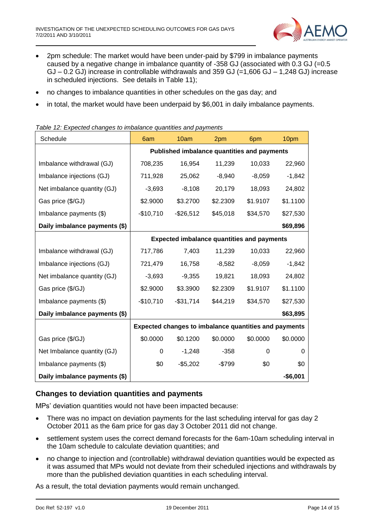

- 2pm schedule: The market would have been under-paid by \$799 in imbalance payments caused by a negative change in imbalance quantity of -358 GJ (associated with 0.3 GJ (=0.5  $GJ - 0.2 GJ$ ) increase in controllable withdrawals and 359 GJ (=1,606 GJ – 1,248 GJ) increase in scheduled injections. See details in Table 11);
- no changes to imbalance quantities in other schedules on the gas day; and
- in total, the market would have been underpaid by \$6,001 in daily imbalance payments.

| Schedule                      | 6am                                                          | 10am         | 2pm      | 6pm      | 10pm      |
|-------------------------------|--------------------------------------------------------------|--------------|----------|----------|-----------|
|                               | <b>Published imbalance quantities and payments</b>           |              |          |          |           |
| Imbalance withdrawal (GJ)     | 708,235                                                      | 16,954       | 11,239   | 10,033   | 22,960    |
| Imbalance injections (GJ)     | 711,928                                                      | 25,062       | $-8,940$ | $-8,059$ | $-1,842$  |
| Net imbalance quantity (GJ)   | $-3,693$                                                     | $-8,108$     | 20,179   | 18,093   | 24,802    |
| Gas price (\$/GJ)             | \$2.9000                                                     | \$3.2700     | \$2.2309 | \$1.9107 | \$1.1100  |
| Imbalance payments (\$)       | $-$10,710$                                                   | $-$ \$26,512 | \$45,018 | \$34,570 | \$27,530  |
| Daily imbalance payments (\$) |                                                              |              |          |          | \$69,896  |
|                               | <b>Expected imbalance quantities and payments</b>            |              |          |          |           |
| Imbalance withdrawal (GJ)     | 717,786                                                      | 7,403        | 11,239   | 10,033   | 22,960    |
| Imbalance injections (GJ)     | 721,479                                                      | 16,758       | $-8,582$ | $-8,059$ | $-1,842$  |
| Net imbalance quantity (GJ)   | $-3,693$                                                     | $-9,355$     | 19,821   | 18,093   | 24,802    |
| Gas price (\$/GJ)             | \$2.9000                                                     | \$3.3900     | \$2.2309 | \$1.9107 | \$1.1100  |
| Imbalance payments (\$)       | $-$10,710$                                                   | $-$31,714$   | \$44,219 | \$34,570 | \$27,530  |
| Daily imbalance payments (\$) |                                                              |              |          |          | \$63,895  |
|                               | <b>Expected changes to imbalance quantities and payments</b> |              |          |          |           |
| Gas price (\$/GJ)             | \$0.0000                                                     | \$0.1200     | \$0.0000 | \$0.0000 | \$0.0000  |
| Net Imbalance quantity (GJ)   | 0                                                            | $-1,248$     | $-358$   | 0        | 0         |
| Imbalance payments (\$)       | \$0                                                          | $-$5,202$    | $-$799$  | \$0      | \$0       |
| Daily imbalance payments (\$) |                                                              |              |          |          | $-$6,001$ |

#### *Table 12: Expected changes to imbalance quantities and payments*

#### **Changes to deviation quantities and payments**

MPs' deviation quantities would not have been impacted because:

- There was no impact on deviation payments for the last scheduling interval for gas day 2 October 2011 as the 6am price for gas day 3 October 2011 did not change.
- settlement system uses the correct demand forecasts for the 6am-10am scheduling interval in the 10am schedule to calculate deviation quantities; and
- no change to injection and (controllable) withdrawal deviation quantities would be expected as it was assumed that MPs would not deviate from their scheduled injections and withdrawals by more than the published deviation quantities in each scheduling interval.

As a result, the total deviation payments would remain unchanged.